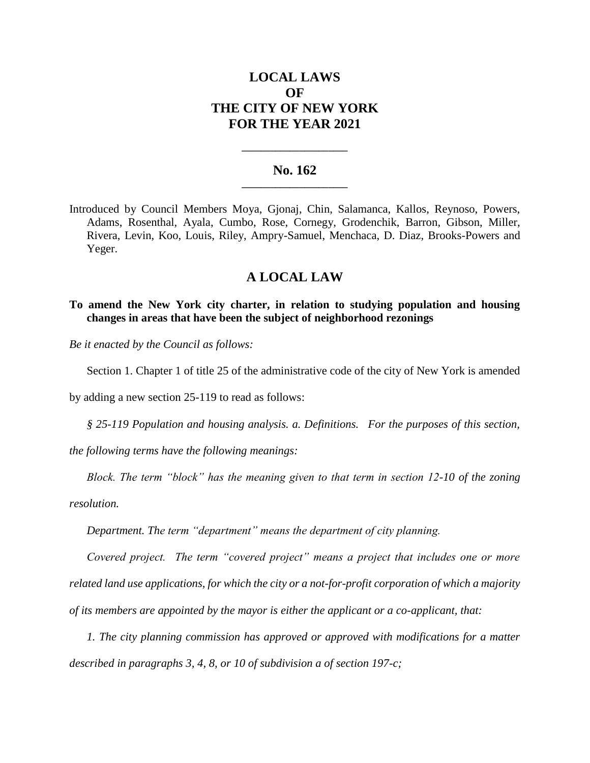# **LOCAL LAWS OF THE CITY OF NEW YORK FOR THE YEAR 2021**

## **No. 162 \_\_\_\_\_\_\_\_\_\_\_\_\_\_\_\_\_\_\_\_\_\_**

**\_\_\_\_\_\_\_\_\_\_\_\_\_\_\_\_\_\_\_\_\_\_**

Introduced by Council Members Moya, Gjonaj, Chin, Salamanca, Kallos, Reynoso, Powers, Adams, Rosenthal, Ayala, Cumbo, Rose, Cornegy, Grodenchik, Barron, Gibson, Miller, Rivera, Levin, Koo, Louis, Riley, Ampry-Samuel, Menchaca, D. Diaz, Brooks-Powers and Yeger.

# **A LOCAL LAW**

### **To amend the New York city charter, in relation to studying population and housing changes in areas that have been the subject of neighborhood rezonings**

*Be it enacted by the Council as follows:*

Section 1. Chapter 1 of title 25 of the administrative code of the city of New York is amended

by adding a new section 25-119 to read as follows:

*§ 25-119 Population and housing analysis. a. Definitions. For the purposes of this section,* 

*the following terms have the following meanings:*

*Block. The term "block" has the meaning given to that term in section 12-10 of the zoning* 

*resolution.*

*Department. The term "department" means the department of city planning.*

*Covered project. The term "covered project" means a project that includes one or more related land use applications, for which the city or a not-for-profit corporation of which a majority of its members are appointed by the mayor is either the applicant or a co-applicant, that:*

*1. The city planning commission has approved or approved with modifications for a matter described in paragraphs 3, 4, 8, or 10 of subdivision a of section 197-c;*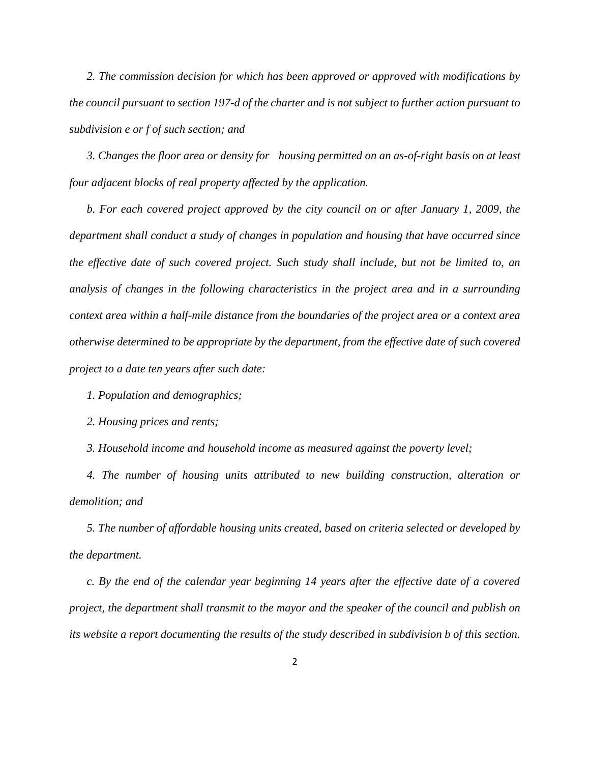*2. The commission decision for which has been approved or approved with modifications by the council pursuant to section 197-d of the charter and is not subject to further action pursuant to subdivision e or f of such section; and*

*3. Changes the floor area or density for housing permitted on an as-of-right basis on at least four adjacent blocks of real property affected by the application.*

*b. For each covered project approved by the city council on or after January 1, 2009, the department shall conduct a study of changes in population and housing that have occurred since the effective date of such covered project. Such study shall include, but not be limited to, an analysis of changes in the following characteristics in the project area and in a surrounding context area within a half-mile distance from the boundaries of the project area or a context area otherwise determined to be appropriate by the department, from the effective date of such covered project to a date ten years after such date:*

*1. Population and demographics;* 

*2. Housing prices and rents;* 

*3. Household income and household income as measured against the poverty level;*

*4. The number of housing units attributed to new building construction, alteration or demolition; and*

*5. The number of affordable housing units created, based on criteria selected or developed by the department.* 

*c. By the end of the calendar year beginning 14 years after the effective date of a covered project, the department shall transmit to the mayor and the speaker of the council and publish on its website a report documenting the results of the study described in subdivision b of this section.*